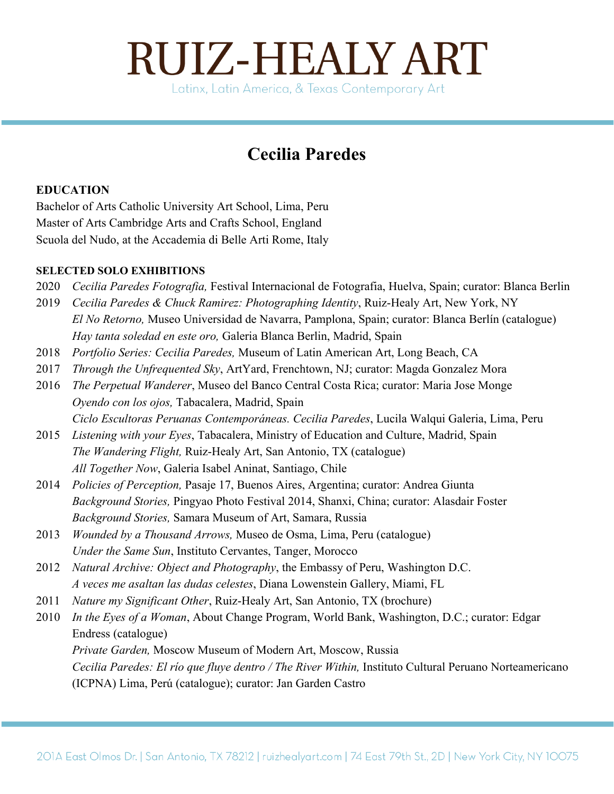### **Cecilia Paredes**

#### **EDUCATION**

Bachelor of Arts Catholic University Art School, Lima, Peru Master of Arts Cambridge Arts and Crafts School, England Scuola del Nudo, at the Accademia di Belle Arti Rome, Italy

#### **SELECTED SOLO EXHIBITIONS**

- 2020 *Cecilia Paredes Fotografia,* Festival Internacional de Fotografia, Huelva, Spain; curator: Blanca Berlin
- 2019 *Cecilia Paredes & Chuck Ramirez: Photographing Identity*, Ruiz-Healy Art, New York, NY *El No Retorno,* Museo Universidad de Navarra, Pamplona, Spain; curator: Blanca Berlín (catalogue) *Hay tanta soledad en este oro,* Galeria Blanca Berlin, Madrid, Spain
- 2018 *Portfolio Series: Cecilia Paredes,* Museum of Latin American Art, Long Beach, CA
- 2017 *Through the Unfrequented Sky*, ArtYard, Frenchtown, NJ; curator: Magda Gonzalez Mora
- 2016 *The Perpetual Wanderer*, Museo del Banco Central Costa Rica; curator: Maria Jose Monge *Oyendo con los ojos,* Tabacalera, Madrid, Spain *Ciclo Escultoras Peruanas Contemporáneas. Cecilia Paredes*, Lucila Walqui Galeria, Lima, Peru
- 2015 *Listening with your Eyes*, Tabacalera, Ministry of Education and Culture, Madrid, Spain *The Wandering Flight,* Ruiz-Healy Art, San Antonio, TX (catalogue) *All Together Now*, Galeria Isabel Aninat, Santiago, Chile
- 2014 *Policies of Perception,* Pasaje 17, Buenos Aires, Argentina; curator: Andrea Giunta *Background Stories,* Pingyao Photo Festival 2014, Shanxi, China; curator: Alasdair Foster *Background Stories,* Samara Museum of Art, Samara, Russia
- 2013 *Wounded by a Thousand Arrows,* Museo de Osma, Lima, Peru (catalogue) *Under the Same Sun*, Instituto Cervantes, Tanger, Morocco
- 2012 *Natural Archive: Object and Photography*, the Embassy of Peru, Washington D.C. *A veces me asaltan las dudas celestes*, Diana Lowenstein Gallery, Miami, FL
- 2011 *Nature my Significant Other*, Ruiz-Healy Art, San Antonio, TX (brochure)

2010 *In the Eyes of a Woman*, About Change Program, World Bank, Washington, D.C.; curator: Edgar Endress (catalogue) *Private Garden,* Moscow Museum of Modern Art, Moscow, Russia *Cecilia Paredes: El río que fluye dentro / The River Within,* Instituto Cultural Peruano Norteamericano (ICPNA) Lima, Perú (catalogue); curator: Jan Garden Castro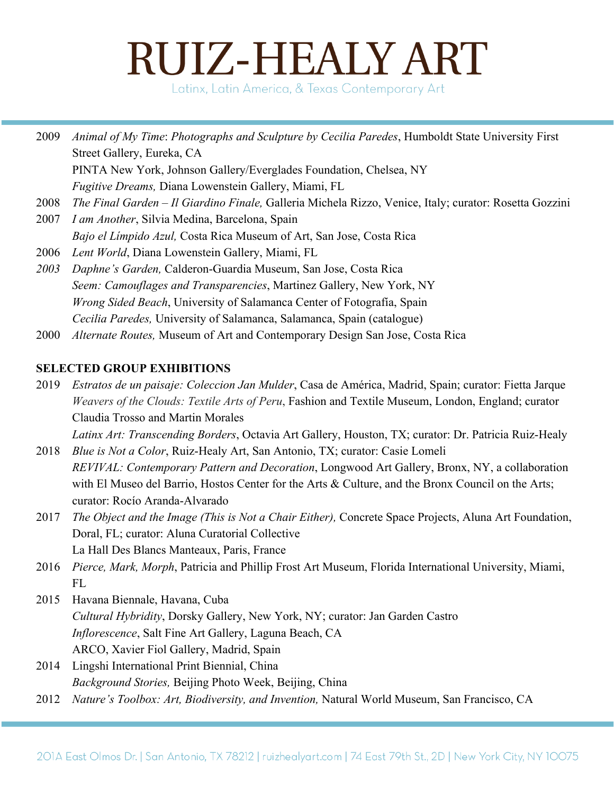Latinx, Latin America, & Texas Contemporary Art

2009 *Animal of My Time*: *Photographs and Sculpture by Cecilia Paredes*, Humboldt State University First Street Gallery, Eureka, CA

PINTA New York, Johnson Gallery/Everglades Foundation, Chelsea, NY

*Fugitive Dreams,* Diana Lowenstein Gallery, Miami, FL

- 2008 *The Final Garden Il Giardino Finale,* Galleria Michela Rizzo, Venice, Italy; curator: Rosetta Gozzini
- 2007 *I am Another*, Silvia Medina, Barcelona, Spain *Bajo el Límpido Azul,* Costa Rica Museum of Art, San Jose, Costa Rica
- 2006 *Lent World*, Diana Lowenstein Gallery, Miami, FL
- *2003 Daphne's Garden,* Calderon-Guardia Museum, San Jose, Costa Rica *Seem: Camouflages and Transparencies*, Martinez Gallery, New York, NY *Wrong Sided Beach*, University of Salamanca Center of Fotografía, Spain *Cecilia Paredes,* University of Salamanca, Salamanca, Spain (catalogue)
- 2000 *Alternate Routes,* Museum of Art and Contemporary Design San Jose, Costa Rica

#### **SELECTED GROUP EXHIBITIONS**

2019 *Estratos de un paisaje: Coleccion Jan Mulder*, Casa de América, Madrid, Spain; curator: Fietta Jarque *Weavers of the Clouds: Textile Arts of Peru*, Fashion and Textile Museum, London, England; curator Claudia Trosso and Martin Morales

*Latinx Art: Transcending Borders*, Octavia Art Gallery, Houston, TX; curator: Dr. Patricia Ruiz-Healy 2018 *Blue is Not a Color*, Ruiz-Healy Art, San Antonio, TX; curator: Casie Lomeli

- *REVIVAL: Contemporary Pattern and Decoration*, Longwood Art Gallery, Bronx, NY, a collaboration with El Museo del Barrio, Hostos Center for the Arts & Culture, and the Bronx Council on the Arts; curator: Rocío Aranda-Alvarado
- 2017 *The Object and the Image (This is Not a Chair Either),* Concrete Space Projects, Aluna Art Foundation, Doral, FL; curator: Aluna Curatorial Collective La Hall Des Blancs Manteaux, Paris, France
- 2016 *Pierce, Mark, Morph*, Patricia and Phillip Frost Art Museum, Florida International University, Miami,  $FI.$
- 2015 Havana Biennale, Havana, Cuba *Cultural Hybridity*, Dorsky Gallery, New York, NY; curator: Jan Garden Castro *Inflorescence*, Salt Fine Art Gallery, Laguna Beach, CA ARCO, Xavier Fiol Gallery, Madrid, Spain
- 2014 Lingshi International Print Biennial, China *Background Stories,* Beijing Photo Week, Beijing, China
- 2012 *Nature's Toolbox: Art, Biodiversity, and Invention,* Natural World Museum, San Francisco, CA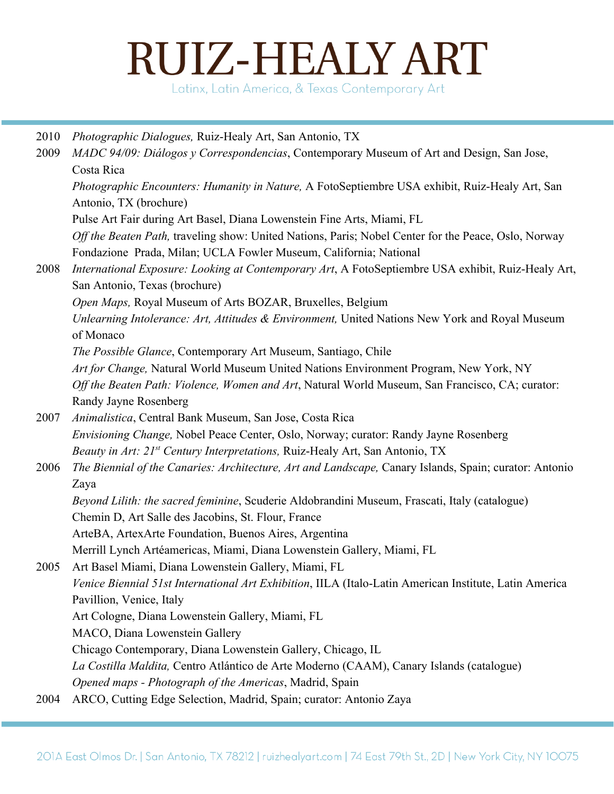Latinx, Latin America, & Texas Contemporary Art

| 2010 | <i>Photographic Dialogues, Ruiz-Healy Art, San Antonio, TX</i>                                         |
|------|--------------------------------------------------------------------------------------------------------|
| 2009 | MADC 94/09: Diálogos y Correspondencias, Contemporary Museum of Art and Design, San Jose,              |
|      | Costa Rica                                                                                             |
|      | Photographic Encounters: Humanity in Nature, A FotoSeptiembre USA exhibit, Ruiz-Healy Art, San         |
|      | Antonio, TX (brochure)                                                                                 |
|      | Pulse Art Fair during Art Basel, Diana Lowenstein Fine Arts, Miami, FL                                 |
|      | Off the Beaten Path, traveling show: United Nations, Paris; Nobel Center for the Peace, Oslo, Norway   |
|      | Fondazione Prada, Milan; UCLA Fowler Museum, California; National                                      |
| 2008 | International Exposure: Looking at Contemporary Art, A FotoSeptiembre USA exhibit, Ruiz-Healy Art,     |
|      | San Antonio, Texas (brochure)                                                                          |
|      | Open Maps, Royal Museum of Arts BOZAR, Bruxelles, Belgium                                              |
|      | Unlearning Intolerance: Art, Attitudes & Environment, United Nations New York and Royal Museum         |
|      | of Monaco                                                                                              |
|      | The Possible Glance, Contemporary Art Museum, Santiago, Chile                                          |
|      | Art for Change, Natural World Museum United Nations Environment Program, New York, NY                  |
|      | Off the Beaten Path: Violence, Women and Art, Natural World Museum, San Francisco, CA; curator:        |
|      | Randy Jayne Rosenberg                                                                                  |
| 2007 | Animalistica, Central Bank Museum, San Jose, Costa Rica                                                |
|      | <i>Envisioning Change</i> , Nobel Peace Center, Oslo, Norway; curator: Randy Jayne Rosenberg           |
|      | Beauty in Art: 21 <sup>st</sup> Century Interpretations, Ruiz-Healy Art, San Antonio, TX               |
| 2006 | The Biennial of the Canaries: Architecture, Art and Landscape, Canary Islands, Spain; curator: Antonio |
|      | Zaya                                                                                                   |
|      | Beyond Lilith: the sacred feminine, Scuderie Aldobrandini Museum, Frascati, Italy (catalogue)          |
|      | Chemin D, Art Salle des Jacobins, St. Flour, France                                                    |
|      | ArteBA, ArtexArte Foundation, Buenos Aires, Argentina                                                  |
|      | Merrill Lynch Artéamericas, Miami, Diana Lowenstein Gallery, Miami, FL                                 |
| 2005 | Art Basel Miami, Diana Lowenstein Gallery, Miami, FL                                                   |
|      | Venice Biennial 51st International Art Exhibition, IILA (Italo-Latin American Institute, Latin America |
|      | Pavillion, Venice, Italy                                                                               |
|      | Art Cologne, Diana Lowenstein Gallery, Miami, FL                                                       |
|      | MACO, Diana Lowenstein Gallery                                                                         |
|      | Chicago Contemporary, Diana Lowenstein Gallery, Chicago, IL                                            |
|      | La Costilla Maldita, Centro Atlántico de Arte Moderno (CAAM), Canary Islands (catalogue)               |
|      | Opened maps - Photograph of the Americas, Madrid, Spain                                                |
| 2004 | ARCO, Cutting Edge Selection, Madrid, Spain; curator: Antonio Zaya                                     |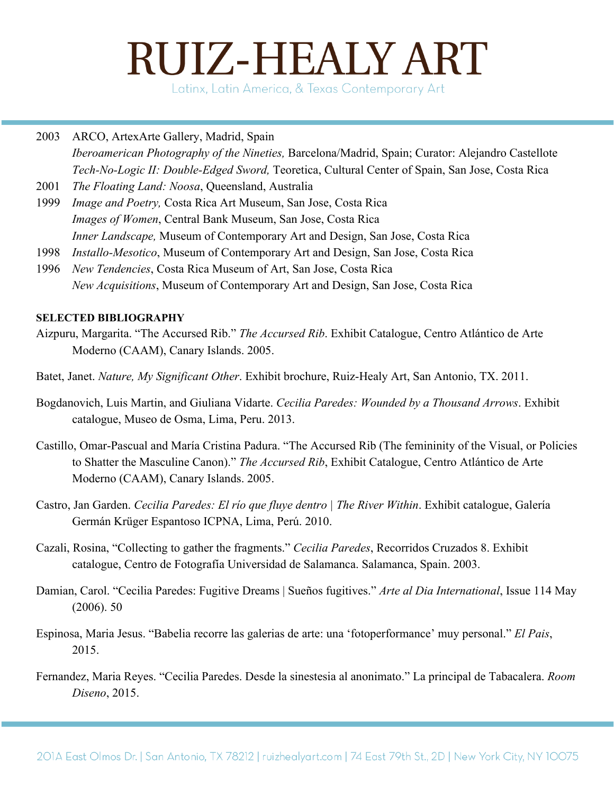Latinx, Latin America, & Texas Contemporary Art

#### 2003 ARCO, ArtexArte Gallery, Madrid, Spain *Iberoamerican Photography of the Nineties,* Barcelona/Madrid, Spain; Curator: Alejandro Castellote *Tech-No-Logic II: Double-Edged Sword,* Teoretica, Cultural Center of Spain, San Jose, Costa Rica

- 2001 *The Floating Land: Noosa*, Queensland, Australia
- 1999 *Image and Poetry,* Costa Rica Art Museum, San Jose, Costa Rica *Images of Women*, Central Bank Museum, San Jose, Costa Rica *Inner Landscape,* Museum of Contemporary Art and Design, San Jose, Costa Rica
- 1998 *Installo-Mesotico*, Museum of Contemporary Art and Design, San Jose, Costa Rica
- 1996 *New Tendencies*, Costa Rica Museum of Art, San Jose, Costa Rica *New Acquisitions*, Museum of Contemporary Art and Design, San Jose, Costa Rica

#### **SELECTED BIBLIOGRAPHY**

- Aizpuru, Margarita. "The Accursed Rib." *The Accursed Rib*. Exhibit Catalogue, Centro Atlántico de Arte Moderno (CAAM), Canary Islands. 2005.
- Batet, Janet. *Nature, My Significant Other*. Exhibit brochure, Ruiz-Healy Art, San Antonio, TX. 2011.
- Bogdanovich, Luis Martin, and Giuliana Vidarte. *Cecilia Paredes: Wounded by a Thousand Arrows*. Exhibit catalogue, Museo de Osma, Lima, Peru. 2013.
- Castillo, Omar-Pascual and María Cristina Padura. "The Accursed Rib (The femininity of the Visual, or Policies to Shatter the Masculine Canon)." *The Accursed Rib*, Exhibit Catalogue, Centro Atlántico de Arte Moderno (CAAM), Canary Islands. 2005.
- Castro, Jan Garden. *Cecilia Paredes: El río que fluye dentro | The River Within*. Exhibit catalogue, Galería Germán Krüger Espantoso ICPNA, Lima, Perú. 2010.
- Cazali, Rosina, "Collecting to gather the fragments." *Cecilia Paredes*, Recorridos Cruzados 8. Exhibit catalogue, Centro de Fotografía Universidad de Salamanca. Salamanca, Spain. 2003.
- Damian, Carol. "Cecilia Paredes: Fugitive Dreams | Sueños fugitives." *Arte al Dia International*, Issue 114 May (2006). 50
- Espinosa, Maria Jesus. "Babelia recorre las galerias de arte: una 'fotoperformance' muy personal." *El Pais*, 2015.
- Fernandez, Maria Reyes. "Cecilia Paredes. Desde la sinestesia al anonimato." La principal de Tabacalera. *Room Diseno*, 2015.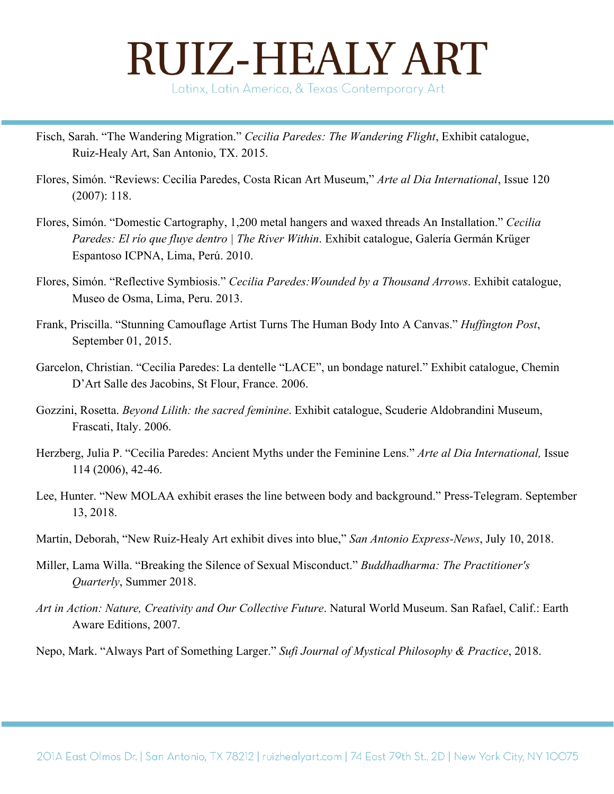Fisch, Sarah. "The Wandering Migration." *Cecilia Paredes: The Wandering Flight*, Exhibit catalogue,

Ruiz-Healy Art, San Antonio, TX. 2015.

- Flores, Simón. "Reviews: Cecilia Paredes, Costa Rican Art Museum," *Arte al Dia International*, Issue 120 (2007): 118.
- Flores, Simón. "Domestic Cartography, 1,200 metal hangers and waxed threads An Installation." *Cecilia Paredes: El río que fluye dentro | The River Within*. Exhibit catalogue, Galería Germán Krüger Espantoso ICPNA, Lima, Perú. 2010.
- Flores, Simón. "Reflective Symbiosis." *Cecilia Paredes:Wounded by a Thousand Arrows*. Exhibit catalogue, Museo de Osma, Lima, Peru. 2013.
- Frank, Priscilla. "Stunning Camouflage Artist Turns The Human Body Into A Canvas." *Huffington Post*, September 01, 2015.
- Garcelon, Christian. "Cecilia Paredes: La dentelle "LACE", un bondage naturel." Exhibit catalogue, Chemin D'Art Salle des Jacobins, St Flour, France. 2006.
- Gozzini, Rosetta. *Beyond Lilith: the sacred feminine*. Exhibit catalogue, Scuderie Aldobrandini Museum, Frascati, Italy. 2006.
- Herzberg, Julia P. "Cecilia Paredes: Ancient Myths under the Feminine Lens." *Arte al Dia International,* Issue 114 (2006), 42-46.
- Lee, Hunter. "New MOLAA exhibit erases the line between body and background." Press-Telegram. September 13, 2018.
- Martin, Deborah, "New Ruiz-Healy Art exhibit dives into blue," *San Antonio Express-News*, July 10, 2018.
- Miller, Lama Willa. "Breaking the Silence of Sexual Misconduct." *Buddhadharma: The Practitioner's Quarterly*, Summer 2018.
- *Art in Action: Nature, Creativity and Our Collective Future*. Natural World Museum. San Rafael, Calif.: Earth Aware Editions, 2007.

Nepo, Mark. "Always Part of Something Larger." *Sufi Journal of Mystical Philosophy & Practice*, 2018.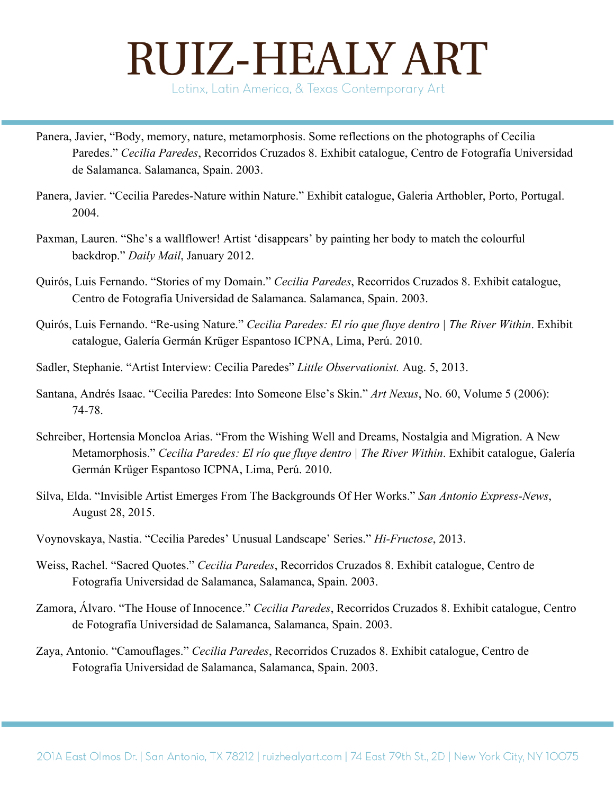- Panera, Javier, "Body, memory, nature, metamorphosis. Some reflections on the photographs of Cecilia Paredes." *Cecilia Paredes*, Recorridos Cruzados 8. Exhibit catalogue, Centro de Fotografía Universidad de Salamanca. Salamanca, Spain. 2003.
- Panera, Javier. "Cecilia Paredes-Nature within Nature." Exhibit catalogue, Galeria Arthobler, Porto, Portugal. 2004.
- Paxman, Lauren. "She's a wallflower! Artist 'disappears' by painting her body to match the colourful backdrop." *Daily Mail*, January 2012.
- Quirós, Luis Fernando. "Stories of my Domain." *Cecilia Paredes*, Recorridos Cruzados 8. Exhibit catalogue, Centro de Fotografía Universidad de Salamanca. Salamanca, Spain. 2003.
- Quirós, Luis Fernando. "Re-using Nature." *Cecilia Paredes: El río que fluye dentro | The River Within*. Exhibit catalogue, Galería Germán Krüger Espantoso ICPNA, Lima, Perú. 2010.
- Sadler, Stephanie. "Artist Interview: Cecilia Paredes" *Little Observationist.* Aug. 5, 2013.
- Santana, Andrés Isaac. "Cecilia Paredes: Into Someone Else's Skin." *Art Nexus*, No. 60, Volume 5 (2006): 74-78.
- Schreiber, Hortensia Moncloa Arias. "From the Wishing Well and Dreams, Nostalgia and Migration. A New Metamorphosis." *Cecilia Paredes: El río que fluye dentro | The River Within*. Exhibit catalogue, Galería Germán Krüger Espantoso ICPNA, Lima, Perú. 2010.
- Silva, Elda. "Invisible Artist Emerges From The Backgrounds Of Her Works." *San Antonio Express-News*, August 28, 2015.
- Voynovskaya, Nastia. "Cecilia Paredes' Unusual Landscape' Series." *Hi-Fructose*, 2013.
- Weiss, Rachel. "Sacred Quotes." *Cecilia Paredes*, Recorridos Cruzados 8. Exhibit catalogue, Centro de Fotografía Universidad de Salamanca, Salamanca, Spain. 2003.
- Zamora, Álvaro. "The House of Innocence." *Cecilia Paredes*, Recorridos Cruzados 8. Exhibit catalogue, Centro de Fotografía Universidad de Salamanca, Salamanca, Spain. 2003.
- Zaya, Antonio. "Camouflages." *Cecilia Paredes*, Recorridos Cruzados 8. Exhibit catalogue, Centro de Fotografía Universidad de Salamanca, Salamanca, Spain. 2003.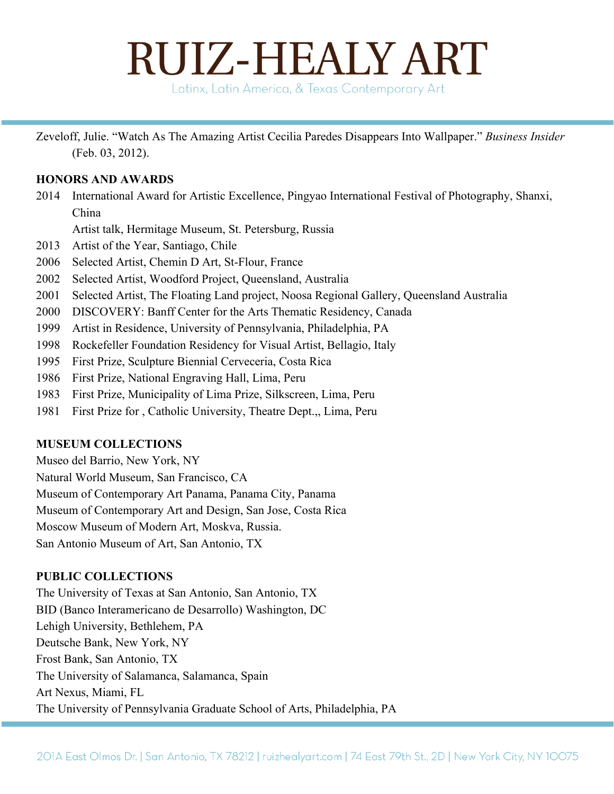Latinx, Latin America, & Texas Contemporary Art

Zeveloff, Julie. "Watch As The Amazing Artist Cecilia Paredes Disappears Into Wallpaper." *Business Insider* (Feb. 03, 2012).

#### **HONORS AND AWARDS**

2014 International Award for Artistic Excellence, Pingyao International Festival of Photography, Shanxi, China

Artist talk, Hermitage Museum, St. Petersburg, Russia

- 2013 Artist of the Year, Santiago, Chile
- 2006 Selected Artist, Chemin D Art, St-Flour, France
- 2002 Selected Artist, Woodford Project, Queensland, Australia
- 2001 Selected Artist, The Floating Land project, Noosa Regional Gallery, Queensland Australia
- 2000 DISCOVERY: Banff Center for the Arts Thematic Residency, Canada
- 1999 Artist in Residence, University of Pennsylvania, Philadelphia, PA
- 1998 Rockefeller Foundation Residency for Visual Artist, Bellagio, Italy
- 1995 First Prize, Sculpture Biennial Cerveceria, Costa Rica
- 1986 First Prize, National Engraving Hall, Lima, Peru
- 1983 First Prize, Municipality of Lima Prize, Silkscreen, Lima, Peru
- 1981 First Prize for , Catholic University, Theatre Dept.,, Lima, Peru

#### **MUSEUM COLLECTIONS**

Museo del Barrio, New York, NY Natural World Museum, San Francisco, CA Museum of Contemporary Art Panama, Panama City, Panama Museum of Contemporary Art and Design, San Jose, Costa Rica Moscow Museum of Modern Art, Moskva, Russia. San Antonio Museum of Art, San Antonio, TX

#### **PUBLIC COLLECTIONS**

The University of Texas at San Antonio, San Antonio, TX BID (Banco Interamericano de Desarrollo) Washington, DC Lehigh University, Bethlehem, PA Deutsche Bank, New York, NY Frost Bank, San Antonio, TX The University of Salamanca, Salamanca, Spain Art Nexus, Miami, FL The University of Pennsylvania Graduate School of Arts, Philadelphia, PA